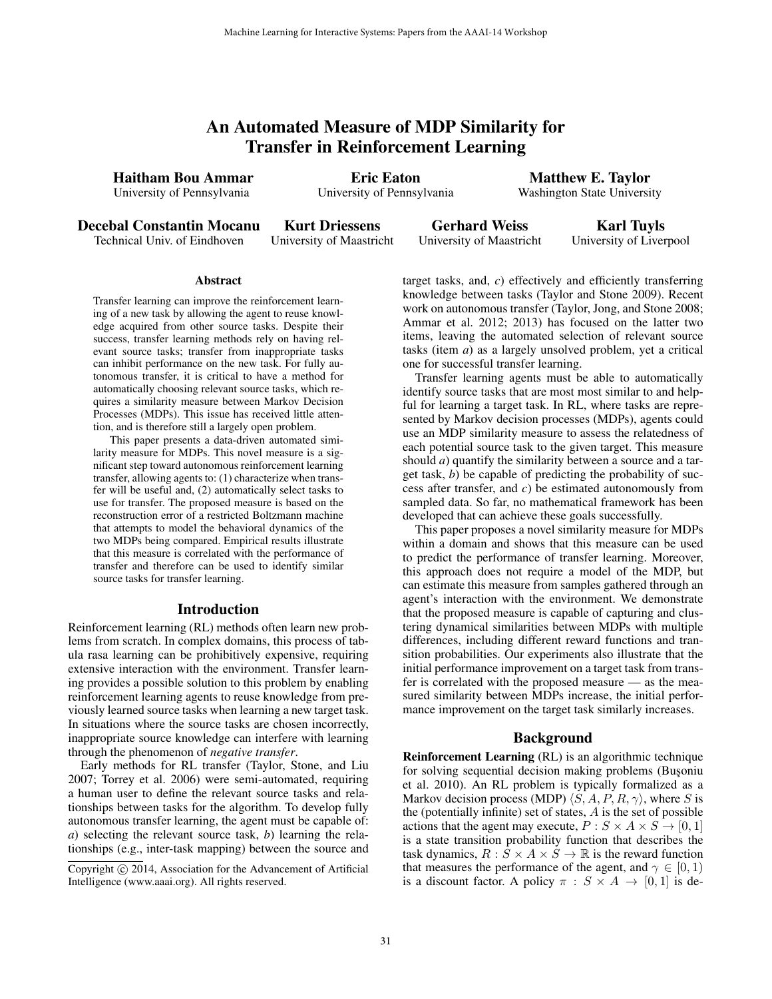# An Automated Measure of MDP Similarity for Transfer in Reinforcement Learning

Haitham Bou Ammar

University of Pennsylvania

Eric Eaton University of Pennsylvania

Matthew E. Taylor Washington State University

Decebal Constantin Mocanu Technical Univ. of Eindhoven

Kurt Driessens University of Maastricht

Gerhard Weiss University of Maastricht

Karl Tuyls University of Liverpool

#### **Abstract**

Transfer learning can improve the reinforcement learning of a new task by allowing the agent to reuse knowledge acquired from other source tasks. Despite their success, transfer learning methods rely on having relevant source tasks; transfer from inappropriate tasks can inhibit performance on the new task. For fully autonomous transfer, it is critical to have a method for automatically choosing relevant source tasks, which requires a similarity measure between Markov Decision Processes (MDPs). This issue has received little attention, and is therefore still a largely open problem.

This paper presents a data-driven automated similarity measure for MDPs. This novel measure is a significant step toward autonomous reinforcement learning transfer, allowing agents to: (1) characterize when transfer will be useful and, (2) automatically select tasks to use for transfer. The proposed measure is based on the reconstruction error of a restricted Boltzmann machine that attempts to model the behavioral dynamics of the two MDPs being compared. Empirical results illustrate that this measure is correlated with the performance of transfer and therefore can be used to identify similar source tasks for transfer learning.

## Introduction

Reinforcement learning (RL) methods often learn new problems from scratch. In complex domains, this process of tabula rasa learning can be prohibitively expensive, requiring extensive interaction with the environment. Transfer learning provides a possible solution to this problem by enabling reinforcement learning agents to reuse knowledge from previously learned source tasks when learning a new target task. In situations where the source tasks are chosen incorrectly, inappropriate source knowledge can interfere with learning through the phenomenon of *negative transfer*.

Early methods for RL transfer (Taylor, Stone, and Liu 2007; Torrey et al. 2006) were semi-automated, requiring a human user to define the relevant source tasks and relationships between tasks for the algorithm. To develop fully autonomous transfer learning, the agent must be capable of: *a*) selecting the relevant source task, *b*) learning the relationships (e.g., inter-task mapping) between the source and

target tasks, and, *c*) effectively and efficiently transferring knowledge between tasks (Taylor and Stone 2009). Recent work on autonomous transfer (Taylor, Jong, and Stone 2008; Ammar et al. 2012; 2013) has focused on the latter two items, leaving the automated selection of relevant source tasks (item *a*) as a largely unsolved problem, yet a critical one for successful transfer learning.

Transfer learning agents must be able to automatically identify source tasks that are most most similar to and helpful for learning a target task. In RL, where tasks are represented by Markov decision processes (MDPs), agents could use an MDP similarity measure to assess the relatedness of each potential source task to the given target. This measure should *a*) quantify the similarity between a source and a target task, *b*) be capable of predicting the probability of success after transfer, and *c*) be estimated autonomously from sampled data. So far, no mathematical framework has been developed that can achieve these goals successfully.

This paper proposes a novel similarity measure for MDPs within a domain and shows that this measure can be used to predict the performance of transfer learning. Moreover, this approach does not require a model of the MDP, but can estimate this measure from samples gathered through an agent's interaction with the environment. We demonstrate that the proposed measure is capable of capturing and clustering dynamical similarities between MDPs with multiple differences, including different reward functions and transition probabilities. Our experiments also illustrate that the initial performance improvement on a target task from transfer is correlated with the proposed measure — as the measured similarity between MDPs increase, the initial performance improvement on the target task similarly increases.

#### Background

Reinforcement Learning (RL) is an algorithmic technique for solving sequential decision making problems (Busoniu et al. 2010). An RL problem is typically formalized as a Markov decision process (MDP)  $\langle S, A, P, R, \gamma \rangle$ , where S is the (potentially infinite) set of states, A is the set of possible actions that the agent may execute,  $P : S \times A \times S \rightarrow [0, 1]$ is a state transition probability function that describes the task dynamics,  $R : S \times A \times S \rightarrow \mathbb{R}$  is the reward function that measures the performance of the agent, and  $\gamma \in [0, 1)$ is a discount factor. A policy  $\pi : S \times A \rightarrow [0, 1]$  is de-

Copyright (c) 2014, Association for the Advancement of Artificial Intelligence (www.aaai.org). All rights reserved.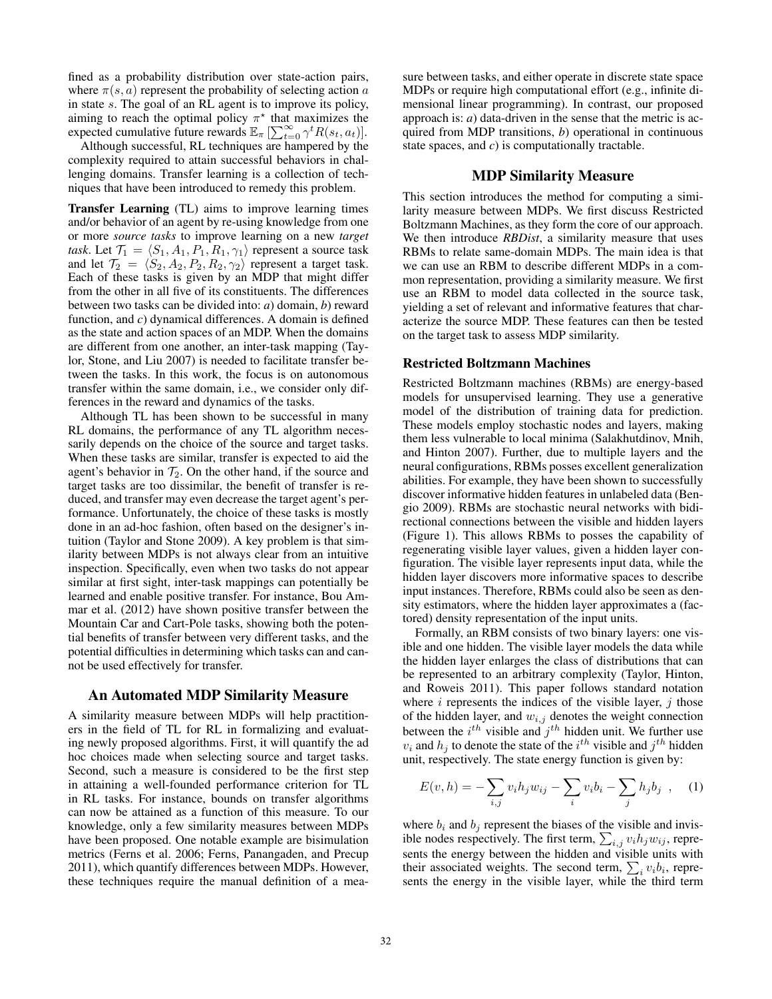fined as a probability distribution over state-action pairs, where  $\pi(s, a)$  represent the probability of selecting action a in state s. The goal of an RL agent is to improve its policy, aiming to reach the optimal policy  $\pi^*$  that maximizes the expected cumulative future rewards  $\mathbb{E}_{\pi} \left[ \sum_{t=0}^{\infty} \gamma^t R(s_t, a_t) \right]$ .

Although successful, RL techniques are hampered by the complexity required to attain successful behaviors in challenging domains. Transfer learning is a collection of techniques that have been introduced to remedy this problem.

Transfer Learning (TL) aims to improve learning times and/or behavior of an agent by re-using knowledge from one or more *source tasks* to improve learning on a new *target task*. Let  $\mathcal{T}_1 = \langle S_1, A_1, P_1, R_1, \gamma_1 \rangle$  represent a source task and let  $\mathcal{T}_2 = \langle S_2, A_2, P_2, R_2, \gamma_2 \rangle$  represent a target task. Each of these tasks is given by an MDP that might differ from the other in all five of its constituents. The differences between two tasks can be divided into: *a*) domain, *b*) reward function, and *c*) dynamical differences. A domain is defined as the state and action spaces of an MDP. When the domains are different from one another, an inter-task mapping (Taylor, Stone, and Liu 2007) is needed to facilitate transfer between the tasks. In this work, the focus is on autonomous transfer within the same domain, i.e., we consider only differences in the reward and dynamics of the tasks.

Although TL has been shown to be successful in many RL domains, the performance of any TL algorithm necessarily depends on the choice of the source and target tasks. When these tasks are similar, transfer is expected to aid the agent's behavior in  $\mathcal{T}_2$ . On the other hand, if the source and target tasks are too dissimilar, the benefit of transfer is reduced, and transfer may even decrease the target agent's performance. Unfortunately, the choice of these tasks is mostly done in an ad-hoc fashion, often based on the designer's intuition (Taylor and Stone 2009). A key problem is that similarity between MDPs is not always clear from an intuitive inspection. Specifically, even when two tasks do not appear similar at first sight, inter-task mappings can potentially be learned and enable positive transfer. For instance, Bou Ammar et al. (2012) have shown positive transfer between the Mountain Car and Cart-Pole tasks, showing both the potential benefits of transfer between very different tasks, and the potential difficulties in determining which tasks can and cannot be used effectively for transfer.

## An Automated MDP Similarity Measure

A similarity measure between MDPs will help practitioners in the field of TL for RL in formalizing and evaluating newly proposed algorithms. First, it will quantify the ad hoc choices made when selecting source and target tasks. Second, such a measure is considered to be the first step in attaining a well-founded performance criterion for TL in RL tasks. For instance, bounds on transfer algorithms can now be attained as a function of this measure. To our knowledge, only a few similarity measures between MDPs have been proposed. One notable example are bisimulation metrics (Ferns et al. 2006; Ferns, Panangaden, and Precup 2011), which quantify differences between MDPs. However, these techniques require the manual definition of a measure between tasks, and either operate in discrete state space MDPs or require high computational effort (e.g., infinite dimensional linear programming). In contrast, our proposed approach is: *a*) data-driven in the sense that the metric is acquired from MDP transitions, *b*) operational in continuous state spaces, and *c*) is computationally tractable.

## MDP Similarity Measure

This section introduces the method for computing a similarity measure between MDPs. We first discuss Restricted Boltzmann Machines, as they form the core of our approach. We then introduce *RBDist*, a similarity measure that uses RBMs to relate same-domain MDPs. The main idea is that we can use an RBM to describe different MDPs in a common representation, providing a similarity measure. We first use an RBM to model data collected in the source task, yielding a set of relevant and informative features that characterize the source MDP. These features can then be tested on the target task to assess MDP similarity.

#### Restricted Boltzmann Machines

Restricted Boltzmann machines (RBMs) are energy-based models for unsupervised learning. They use a generative model of the distribution of training data for prediction. These models employ stochastic nodes and layers, making them less vulnerable to local minima (Salakhutdinov, Mnih, and Hinton 2007). Further, due to multiple layers and the neural configurations, RBMs posses excellent generalization abilities. For example, they have been shown to successfully discover informative hidden features in unlabeled data (Bengio 2009). RBMs are stochastic neural networks with bidirectional connections between the visible and hidden layers (Figure 1). This allows RBMs to posses the capability of regenerating visible layer values, given a hidden layer configuration. The visible layer represents input data, while the hidden layer discovers more informative spaces to describe input instances. Therefore, RBMs could also be seen as density estimators, where the hidden layer approximates a (factored) density representation of the input units.

Formally, an RBM consists of two binary layers: one visible and one hidden. The visible layer models the data while the hidden layer enlarges the class of distributions that can be represented to an arbitrary complexity (Taylor, Hinton, and Roweis 2011). This paper follows standard notation where  $i$  represents the indices of the visible layer,  $j$  those of the hidden layer, and  $w_{i,j}$  denotes the weight connection between the  $i^{th}$  visible and  $j^{th}$  hidden unit. We further use  $v_i$  and  $h_j$  to denote the state of the  $i^{th}$  visible and  $j^{th}$  hidden unit, respectively. The state energy function is given by:

$$
E(v, h) = -\sum_{i,j} v_i h_j w_{ij} - \sum_i v_i b_i - \sum_j h_j b_j \quad , \quad (1)
$$

where  $b_i$  and  $b_j$  represent the biases of the visible and invisible nodes respectively. The first term,  $\sum_{i,j} v_i h_j w_{ij}$ , represents the energy between the hidden and visible units with their associated weights. The second term,  $\sum_i v_i b_i$ , represents the energy in the visible layer, while the third term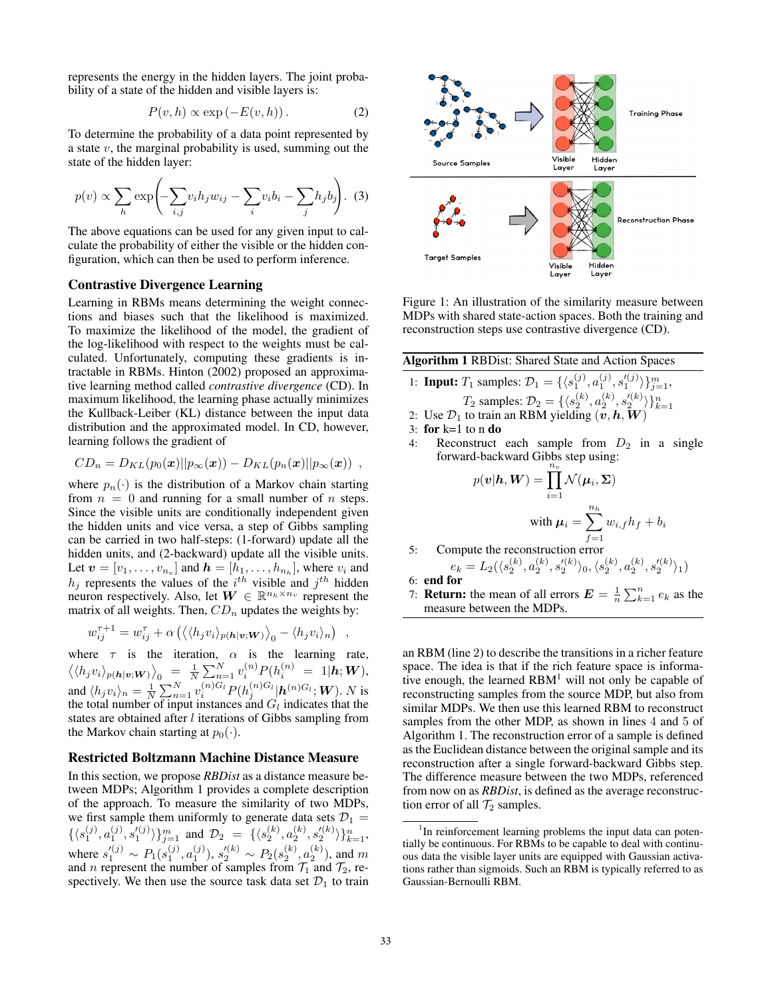represents the energy in the hidden layers. The joint probability of a state of the hidden and visible layers is:

$$
P(v,h) \propto \exp(-E(v,h)). \tag{2}
$$

To determine the probability of a data point represented by a state  $v$ , the marginal probability is used, summing out the state of the hidden layer:

$$
p(v) \propto \sum_{h} \exp\left(-\sum_{i,j} v_i h_j w_{ij} - \sum_i v_i b_i - \sum_j h_j b_j\right). \tag{3}
$$

The above equations can be used for any given input to calculate the probability of either the visible or the hidden configuration, which can then be used to perform inference.

#### Contrastive Divergence Learning

Learning in RBMs means determining the weight connections and biases such that the likelihood is maximized. To maximize the likelihood of the model, the gradient of the log-likelihood with respect to the weights must be calculated. Unfortunately, computing these gradients is intractable in RBMs. Hinton (2002) proposed an approximative learning method called *contrastive divergence* (CD). In maximum likelihood, the learning phase actually minimizes the Kullback-Leiber (KL) distance between the input data distribution and the approximated model. In CD, however, learning follows the gradient of

$$
CD_n = D_{KL}(p_0(\boldsymbol{x})||p_\infty(\boldsymbol{x})) - D_{KL}(p_n(\boldsymbol{x})||p_\infty(\boldsymbol{x})) ,
$$

where  $p_n(\cdot)$  is the distribution of a Markov chain starting from  $n = 0$  and running for a small number of n steps. Since the visible units are conditionally independent given the hidden units and vice versa, a step of Gibbs sampling can be carried in two half-steps: (1-forward) update all the hidden units, and (2-backward) update all the visible units. Let  $\boldsymbol{v} = [v_1, \dots, v_{n_v}]$  and  $\boldsymbol{h} = [h_1, \dots, h_{n_h}]$ , where  $v_i$  and  $h_j$  represents the values of the  $i^{th}$  visible and  $j^{th}$  hidden neuron respectively. Also, let  $W \in \mathbb{R}^{n_h \times n_v}$  represent the matrix of all weights. Then,  $CD<sub>n</sub>$  updates the weights by:

$$
w_{ij}^{\tau+1} = w_{ij}^{\tau} + \alpha \left( \langle \langle h_j v_i \rangle_{p(h|\mathbf{v};\mathbf{W})} \rangle_0 - \langle h_j v_i \rangle_n \right) ,
$$

where  $\tau$  is the iteration,  $\alpha$  is the learning rate,  $\big\langle \langle h_j v_i \rangle_{p(\boldsymbol{h}|\boldsymbol{v};\boldsymbol{W})} \big\rangle_0 \; = \; \frac{1}{N} \sum_{n=1}^N v_i^{(n)} P(h_i^{(n)} \; = \; 1 | \boldsymbol{h}; \boldsymbol{W}),$ and  $\langle h_j v_i \rangle_n = \frac{1}{N} \sum_{n=1}^N v_i^{(n)G_l} P(h_j^{(n)G_l} | \mathbf{h}^{(n)G_l}; \mathbf{W})$ . N is the total number of input instances and  $G_l$  indicates that the states are obtained after *l* iterations of Gibbs sampling from the Markov chain starting at  $p_0(\cdot)$ .

## Restricted Boltzmann Machine Distance Measure

In this section, we propose *RBDist* as a distance measure between MDPs; Algorithm 1 provides a complete description of the approach. To measure the similarity of two MDPs, we first sample them uniformly to generate data sets  $\mathcal{D}_1$  =  $\{\langle s_1^{(j)}, a_1^{(j)}, s_1'^{(j)} \rangle\}_{j=1}^m$  and  $\mathcal{D}_2 = \{\langle s_2^{(k)}, a_2^{(k)}, s_2'^{(k)} \rangle\}_{k=1}^n$ , where  $s_1^{\prime(j)} \sim P_1(s_1^{(j)}, a_1^{(j)}), s_2^{\prime(k)} \sim P_2(s_2^{(k)}, a_2^{(k)}),$  and  $m$ and *n* represent the number of samples from  $\mathcal{T}_1$  and  $\mathcal{T}_2$ , respectively. We then use the source task data set  $\mathcal{D}_1$  to train



Figure 1: An illustration of the similarity measure between MDPs with shared state-action spaces. Both the training and reconstruction steps use contrastive divergence (CD).

| <b>Algorithm 1 RBDist: Shared State and Action Spaces</b>                                                                                                      |
|----------------------------------------------------------------------------------------------------------------------------------------------------------------|
| 1: <b>Input:</b> $T_1$ samples: $\mathcal{D}_1 = \{ \langle s_1^{(j)}, a_1^{(j)}, s_1^{(j)} \rangle \}_{i=1}^m$ ,                                              |
| $T_2$ samples: $\mathcal{D}_2 = \{ \langle s_2^{(k)}, a_2^{(k)}, s_2'^{(k)} \rangle \}_{k=1}^n$<br>2: Use $\mathcal{D}_1$ to train an RBM yielding $(v, h, W)$ |
|                                                                                                                                                                |
| 3: for $k=1$ to n do                                                                                                                                           |
| 4: Reconstruct each sample from $D_2$ in a single                                                                                                              |
| forward healwood Cibbs stan using                                                                                                                              |

forward-backward Gibbs step using:  
\n
$$
p(\mathbf{v}|\mathbf{h}, \mathbf{W}) = \prod_{i=1}^{n_v} \mathcal{N}(\mathbf{\mu}_i, \boldsymbol{\Sigma})
$$
\nwith 
$$
\mathbf{\mu}_i = \sum_{i=1}^{n_h} w_{i,f} h_f + b_i
$$

 $f=1$ <br>5: Compute the reconstruction error  $e_k = L_2(\langle s_2^{(k)}, a_2^{(k)}, s_2'^{(k)} \rangle_0, \langle s_2^{(k)}, a_2^{(k)}, s_2'^{(k)} \rangle_1)$ 

6: end for

7: **Return:** the mean of all errors  $\mathbf{E} = \frac{1}{n} \sum_{k=1}^{n} e_k$  as the measure between the MDPs.

an RBM (line 2) to describe the transitions in a richer feature space. The idea is that if the rich feature space is informative enough, the learned  $RBM<sup>1</sup>$  will not only be capable of reconstructing samples from the source MDP, but also from similar MDPs. We then use this learned RBM to reconstruct samples from the other MDP, as shown in lines 4 and 5 of Algorithm 1. The reconstruction error of a sample is defined as the Euclidean distance between the original sample and its reconstruction after a single forward-backward Gibbs step. The difference measure between the two MDPs, referenced from now on as *RBDist*, is defined as the average reconstruction error of all  $\mathcal{T}_2$  samples.

<sup>&</sup>lt;sup>1</sup>In reinforcement learning problems the input data can potentially be continuous. For RBMs to be capable to deal with continuous data the visible layer units are equipped with Gaussian activations rather than sigmoids. Such an RBM is typically referred to as Gaussian-Bernoulli RBM.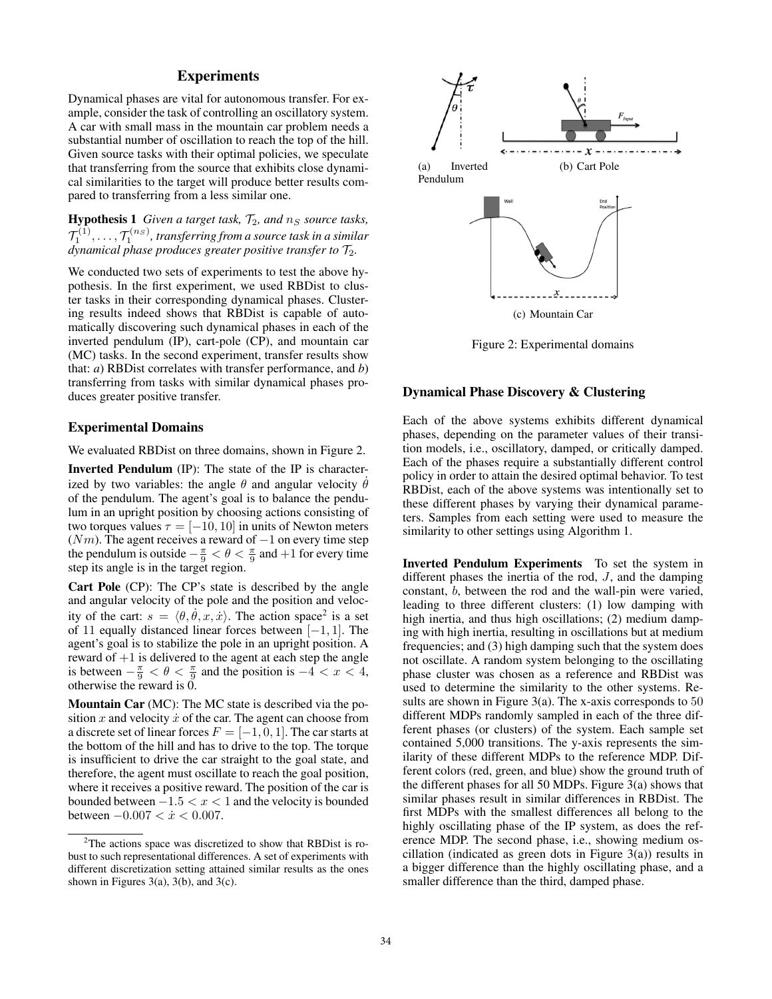# Experiments

Dynamical phases are vital for autonomous transfer. For example, consider the task of controlling an oscillatory system. A car with small mass in the mountain car problem needs a substantial number of oscillation to reach the top of the hill. Given source tasks with their optimal policies, we speculate that transferring from the source that exhibits close dynamical similarities to the target will produce better results compared to transferring from a less similar one.

**Hypothesis 1** *Given a target task,*  $\mathcal{T}_2$ *, and*  $n_S$  *source tasks,*  $\mathcal{T}_1^{(1)}, \ldots, \mathcal{T}_1^{(n_S)},$  transferring from a source task in a similar  $d$ ynamical phase produces greater positive transfer to  $\mathcal{T}_2.$ 

We conducted two sets of experiments to test the above hypothesis. In the first experiment, we used RBDist to cluster tasks in their corresponding dynamical phases. Clustering results indeed shows that RBDist is capable of automatically discovering such dynamical phases in each of the inverted pendulum (IP), cart-pole (CP), and mountain car (MC) tasks. In the second experiment, transfer results show that: *a*) RBDist correlates with transfer performance, and *b*) transferring from tasks with similar dynamical phases produces greater positive transfer.

#### Experimental Domains

We evaluated RBDist on three domains, shown in Figure 2.

Inverted Pendulum (IP): The state of the IP is characterized by two variables: the angle  $\theta$  and angular velocity  $\theta$ of the pendulum. The agent's goal is to balance the pendulum in an upright position by choosing actions consisting of two torques values  $\tau = [-10, 10]$  in units of Newton meters ( $Nm$ ). The agent receives a reward of  $-1$  on every time step the pendulum is outside  $-\frac{\pi}{9} < \theta < \frac{\pi}{9}$  and  $+1$  for every time step its angle is in the target region.

Cart Pole (CP): The CP's state is described by the angle and angular velocity of the pole and the position and velocity of the cart:  $s = \langle \theta, \dot{\theta}, x, \dot{x} \rangle$ . The action space<sup>2</sup> is a set of 11 equally distanced linear forces between [−1, 1]. The agent's goal is to stabilize the pole in an upright position. A reward of  $+1$  is delivered to the agent at each step the angle is between  $-\frac{\pi}{9} < \theta < \frac{\pi}{9}$  and the position is  $-4 < x < 4$ , otherwise the reward is  $\tilde{0}$ .

Mountain Car (MC): The MC state is described via the position x and velocity  $\dot{x}$  of the car. The agent can choose from a discrete set of linear forces  $F = [-1, 0, 1]$ . The car starts at the bottom of the hill and has to drive to the top. The torque is insufficient to drive the car straight to the goal state, and therefore, the agent must oscillate to reach the goal position, where it receives a positive reward. The position of the car is bounded between  $-1.5 < x < 1$  and the velocity is bounded between  $-0.007 < \dot{x} < 0.007$ .



Figure 2: Experimental domains

#### Dynamical Phase Discovery & Clustering

Each of the above systems exhibits different dynamical phases, depending on the parameter values of their transition models, i.e., oscillatory, damped, or critically damped. Each of the phases require a substantially different control policy in order to attain the desired optimal behavior. To test RBDist, each of the above systems was intentionally set to these different phases by varying their dynamical parameters. Samples from each setting were used to measure the similarity to other settings using Algorithm 1.

Inverted Pendulum Experiments To set the system in different phases the inertia of the rod, J, and the damping constant, b, between the rod and the wall-pin were varied, leading to three different clusters: (1) low damping with high inertia, and thus high oscillations; (2) medium damping with high inertia, resulting in oscillations but at medium frequencies; and (3) high damping such that the system does not oscillate. A random system belonging to the oscillating phase cluster was chosen as a reference and RBDist was used to determine the similarity to the other systems. Results are shown in Figure 3(a). The x-axis corresponds to 50 different MDPs randomly sampled in each of the three different phases (or clusters) of the system. Each sample set contained 5,000 transitions. The y-axis represents the similarity of these different MDPs to the reference MDP. Different colors (red, green, and blue) show the ground truth of the different phases for all 50 MDPs. Figure 3(a) shows that similar phases result in similar differences in RBDist. The first MDPs with the smallest differences all belong to the highly oscillating phase of the IP system, as does the reference MDP. The second phase, i.e., showing medium oscillation (indicated as green dots in Figure 3(a)) results in a bigger difference than the highly oscillating phase, and a smaller difference than the third, damped phase.

<sup>&</sup>lt;sup>2</sup>The actions space was discretized to show that RBDist is robust to such representational differences. A set of experiments with different discretization setting attained similar results as the ones shown in Figures 3(a), 3(b), and 3(c).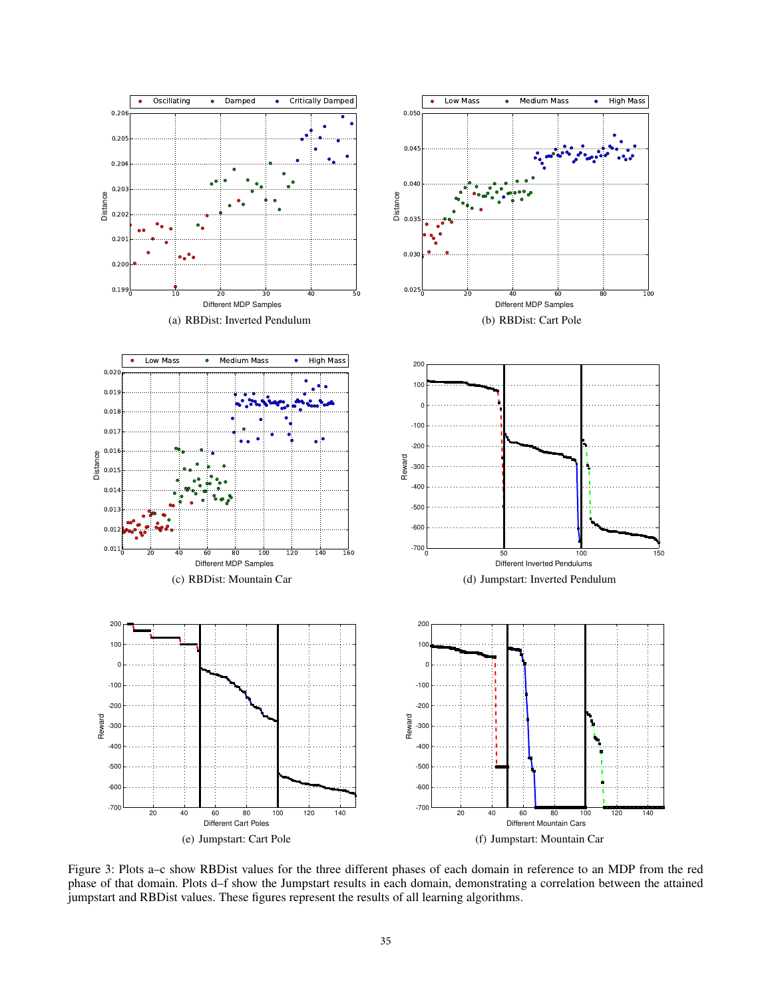

Figure 3: Plots a–c show RBDist values for the three different phases of each domain in reference to an MDP from the red phase of that domain. Plots d–f show the Jumpstart results in each domain, demonstrating a correlation between the attained jumpstart and RBDist values. These figures represent the results of all learning algorithms.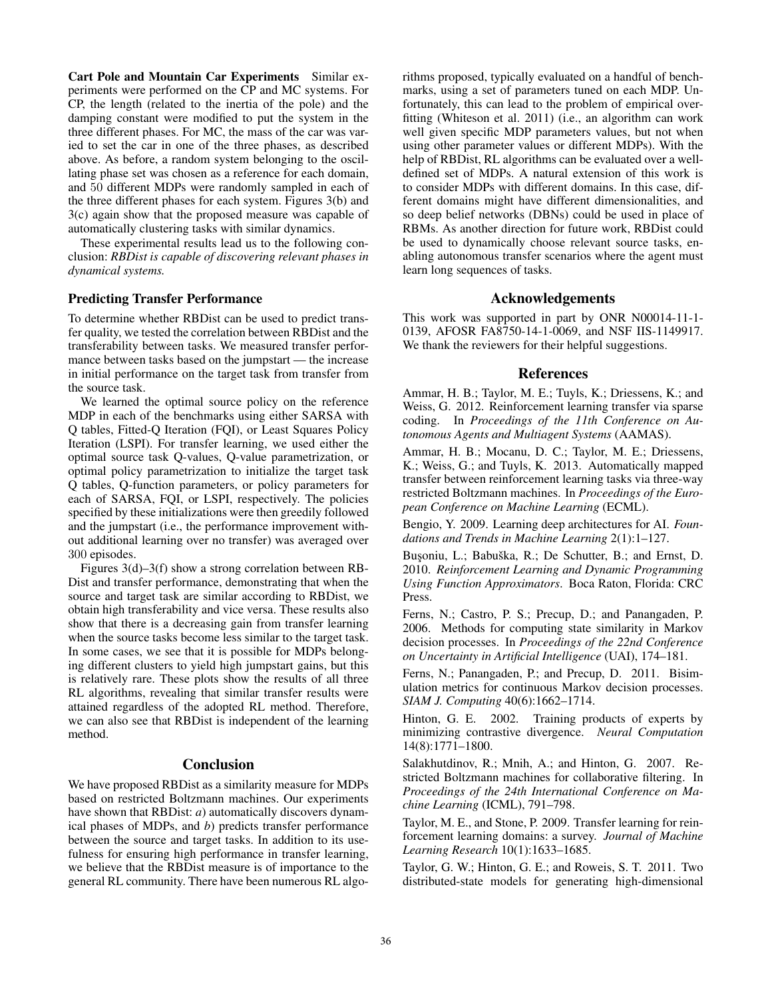Cart Pole and Mountain Car Experiments Similar experiments were performed on the CP and MC systems. For CP, the length (related to the inertia of the pole) and the damping constant were modified to put the system in the three different phases. For MC, the mass of the car was varied to set the car in one of the three phases, as described above. As before, a random system belonging to the oscillating phase set was chosen as a reference for each domain, and 50 different MDPs were randomly sampled in each of the three different phases for each system. Figures 3(b) and 3(c) again show that the proposed measure was capable of automatically clustering tasks with similar dynamics.

These experimental results lead us to the following conclusion: *RBDist is capable of discovering relevant phases in dynamical systems.*

## Predicting Transfer Performance

To determine whether RBDist can be used to predict transfer quality, we tested the correlation between RBDist and the transferability between tasks. We measured transfer performance between tasks based on the jumpstart — the increase in initial performance on the target task from transfer from the source task.

We learned the optimal source policy on the reference MDP in each of the benchmarks using either SARSA with Q tables, Fitted-Q Iteration (FQI), or Least Squares Policy Iteration (LSPI). For transfer learning, we used either the optimal source task Q-values, Q-value parametrization, or optimal policy parametrization to initialize the target task Q tables, Q-function parameters, or policy parameters for each of SARSA, FQI, or LSPI, respectively. The policies specified by these initializations were then greedily followed and the jumpstart (i.e., the performance improvement without additional learning over no transfer) was averaged over 300 episodes.

Figures 3(d)–3(f) show a strong correlation between RB-Dist and transfer performance, demonstrating that when the source and target task are similar according to RBDist, we obtain high transferability and vice versa. These results also show that there is a decreasing gain from transfer learning when the source tasks become less similar to the target task. In some cases, we see that it is possible for MDPs belonging different clusters to yield high jumpstart gains, but this is relatively rare. These plots show the results of all three RL algorithms, revealing that similar transfer results were attained regardless of the adopted RL method. Therefore, we can also see that RBDist is independent of the learning method.

#### **Conclusion**

We have proposed RBDist as a similarity measure for MDPs based on restricted Boltzmann machines. Our experiments have shown that RBDist: *a*) automatically discovers dynamical phases of MDPs, and *b*) predicts transfer performance between the source and target tasks. In addition to its usefulness for ensuring high performance in transfer learning, we believe that the RBDist measure is of importance to the general RL community. There have been numerous RL algorithms proposed, typically evaluated on a handful of benchmarks, using a set of parameters tuned on each MDP. Unfortunately, this can lead to the problem of empirical overfitting (Whiteson et al. 2011) (i.e., an algorithm can work well given specific MDP parameters values, but not when using other parameter values or different MDPs). With the help of RBDist, RL algorithms can be evaluated over a welldefined set of MDPs. A natural extension of this work is to consider MDPs with different domains. In this case, different domains might have different dimensionalities, and so deep belief networks (DBNs) could be used in place of RBMs. As another direction for future work, RBDist could be used to dynamically choose relevant source tasks, enabling autonomous transfer scenarios where the agent must learn long sequences of tasks.

#### Acknowledgements

This work was supported in part by ONR N00014-11-1- 0139, AFOSR FA8750-14-1-0069, and NSF IIS-1149917. We thank the reviewers for their helpful suggestions.

## References

Ammar, H. B.; Taylor, M. E.; Tuyls, K.; Driessens, K.; and Weiss, G. 2012. Reinforcement learning transfer via sparse coding. In *Proceedings of the 11th Conference on Autonomous Agents and Multiagent Systems* (AAMAS).

Ammar, H. B.; Mocanu, D. C.; Taylor, M. E.; Driessens, K.; Weiss, G.; and Tuyls, K. 2013. Automatically mapped transfer between reinforcement learning tasks via three-way restricted Boltzmann machines. In *Proceedings of the European Conference on Machine Learning* (ECML).

Bengio, Y. 2009. Learning deep architectures for AI. *Foundations and Trends in Machine Learning* 2(1):1–127.

Busoniu, L.; Babuška, R.; De Schutter, B.; and Ernst, D. 2010. *Reinforcement Learning and Dynamic Programming Using Function Approximators*. Boca Raton, Florida: CRC Press.

Ferns, N.; Castro, P. S.; Precup, D.; and Panangaden, P. 2006. Methods for computing state similarity in Markov decision processes. In *Proceedings of the 22nd Conference on Uncertainty in Artificial Intelligence* (UAI), 174–181.

Ferns, N.; Panangaden, P.; and Precup, D. 2011. Bisimulation metrics for continuous Markov decision processes. *SIAM J. Computing* 40(6):1662–1714.

Hinton, G. E. 2002. Training products of experts by minimizing contrastive divergence. *Neural Computation* 14(8):1771–1800.

Salakhutdinov, R.; Mnih, A.; and Hinton, G. 2007. Restricted Boltzmann machines for collaborative filtering. In *Proceedings of the 24th International Conference on Machine Learning* (ICML), 791–798.

Taylor, M. E., and Stone, P. 2009. Transfer learning for reinforcement learning domains: a survey. *Journal of Machine Learning Research* 10(1):1633–1685.

Taylor, G. W.; Hinton, G. E.; and Roweis, S. T. 2011. Two distributed-state models for generating high-dimensional